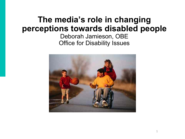### **The media's role in changing perceptions towards disabled people** Deborah Jamieson, OBE Office for Disability Issues

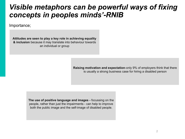### *Visible metaphors can be powerful ways of fixing concepts in peoples minds'-RNIB*

Importance;

**Attitudes are seen to play a key role in achieving equality & inclusion** because it may translate into behaviour towards an individual or group

> **Raising motivation and expectation**-only 9% of employers think that there is usually a strong business case for hiring a disabled person

**The use of positive language and images -** focussing on the people, rather than just the impairments - can help to improve both the public image and the self-image of disabled people.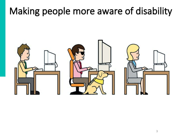# **Making people more aware of disability**

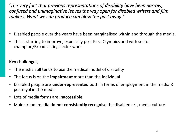**'***The very fact that previous representations of disability have been narrow, confused and unimaginative leaves the way open for disabled writers and film makers. What we can produce can blow the past away***."**

- Disabled people over the years have been marginalised within and through the media.
- This is starting to improve, especially post Para Olympics and with sector champion/Broadcasting sector work

### **Key challenges**;

- The media still tends to use the medical model of disability
- The focus is on the **impairment** more than the individual
- Disabled people are **under-represented** both in terms of employment in the media & portrayal in the media
- Lots of media forms are **inaccessible**
- Mainstream media **do not consistently recognise** the disabled art, media culture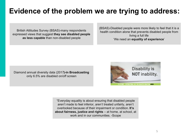## **Evidence of the problem we are trying to address:**

British Attitudes Survey (BSAS)-many respondents expressed views that suggest **they see disabled people as less capable** than non-disabled people

(BSAS)-Disabled people were more likely to feel that it is a health condition alone that prevents disabled people from living a full life 'We need an **equality of experience**'

Diamond annual diversity data (2017**)-in Broadcasting**  only 6.5% are disabled on/off screen



"Everyday equality is about ensuring that disabled people aren't made to feel inferior, aren't treated unfairly, aren't overlooked because of their impairment or condition. **It's about fairness, justice and rights** – at home, at school, at work and in our communities. -Scope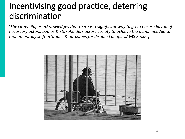## **Incentivising good practice, deterring discrimination**

'*The Green Paper acknowledges that there is a significant way to go to ensure buy-in of necessary actors, bodies & stakeholders across society to achieve the action needed to monumentally shift attitudes & outcomes for disabled people*…' MS Society

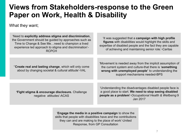### **Views from Stakeholders-response to the Green Paper on Work, Health & Disability**

#### What they want;

| 'Need to explicitly address stigma and discrimination,<br>the Government should be guided by approaches such as<br>Time to Change & See Meneed to champion a lived<br>experience led approach to stigma and discrimination'-<br><b>RCPCH</b> | 'It was suggested that a campaign with high profile<br><b>figures</b> with disabilities would highlight the skills and<br>expertise of disabled people and the fact they are capable<br>of achieving and maintaining senior role.'-Caritas |
|----------------------------------------------------------------------------------------------------------------------------------------------------------------------------------------------------------------------------------------------|--------------------------------------------------------------------------------------------------------------------------------------------------------------------------------------------------------------------------------------------|
| "Create real and lasting change, which will only come<br>about by changing societal & cultural attitude'-VAL                                                                                                                                 | 'Movement is needed away from the implicit assumption of<br>the current system and culture-that there is 'something<br>wrong with unemployed people' to understanding the<br>support mechanisms needed-BPS                                 |
| 'Fight stigma & encourage disclosure. Challenge<br>negative attitudes'-ACAS                                                                                                                                                                  | 'Understanding the disadvantages disabled people face is<br>a good place to start. We need to stop seeing disabled<br>people as a problem'-Occupational Health & Wellbeing 9<br>Jan 2017                                                   |
| <b>Engage the media in a positive campaign to show the</b><br>ekille that neonle with disabilities have and the contributions                                                                                                                |                                                                                                                                                                                                                                            |

skills that people with disabilities have and the contributions they can and are making to the place of work'-United Response, from GP Consultation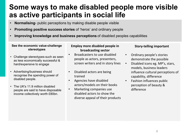## **Some ways to make disabled people more visible as active participants in social life**

- **Normalising** public perceptions by making disable people visible
- **Promoting positive success stories** of 'heros' and ordinary people
- **Improving knowledge and business perceptions** of disabled peoples capabilities

#### **See the economic value-challenge stereotypes**

- Challenge stereotypes-such as seen as less economically successful & hard/expensive to engage
- Advertising/business should recognise the spending power of disabled people.
- The UK's 11.9 million disabled people are said to have disposable income collectively worth £80bn.

#### **Employ more disabled people in broadcasting sector**

- Broadcasters to use disabled people as actors, presenters, screen writers and in story lines
- Disabled actors are being trained
- Agencies have disabled actors/models on their books
- Marketing companies use disabled actors to show the diverse appeal of their products

#### **Story-telling important**

- Ordinary people's stories demonstrate the possible
- Disabled icons eg. MP's, stars, models, business leaders influence cultural perceptions of capability, difference
- Fashion influences public perception of beauty & difference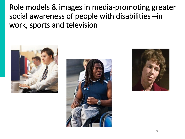**Role models & images in media-promoting greater social awareness of people with disabilities –in work, sports and television**





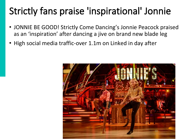# **Strictly fans praise 'inspirational' Jonnie**

- JONNIE BE GOOD! Strictly Come Dancing's Jonnie Peacock praised as an 'inspiration' after dancing a jive on brand new blade leg
- High social media traffic-over 1.1m on Linked in day after

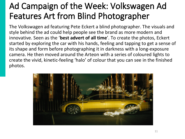## **Ad Campaign of the Week: Volkswagen Ad Features Art from Blind Photographer**

The Volkswagen ad featuring Pete Eckert a blind photographer. The visuals and style behind the ad could help people see the brand as more modern and innovative. Seen as the '**best advert of all time**'. To create the photos, Eckert started by exploring the car with his hands, feeling and tapping to get a sense of its shape and form before photographing it in darkness with a long-exposure camera. He then moved around the Arteon with a series of coloured lights to create the vivid, kinetic-feeling 'halo' of colour that you can see in the finished photos.